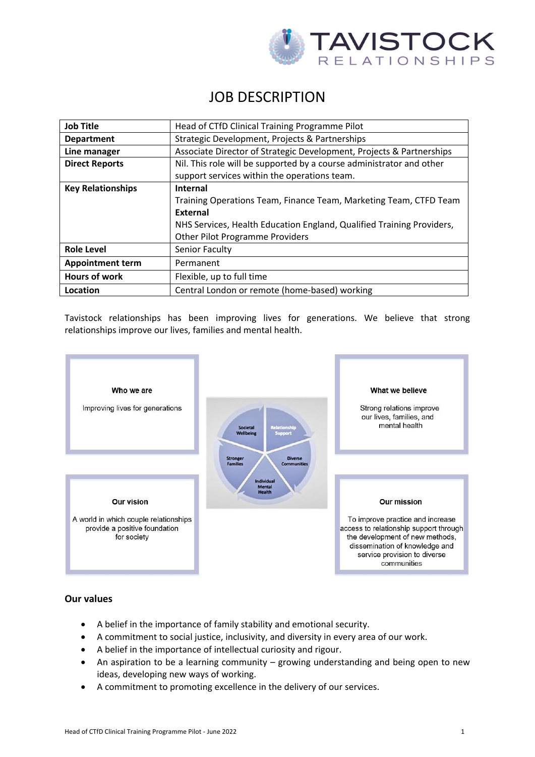

# JOB DESCRIPTION

| <b>Job Title</b>         | Head of CTfD Clinical Training Programme Pilot                                                                       |
|--------------------------|----------------------------------------------------------------------------------------------------------------------|
| <b>Department</b>        | Strategic Development, Projects & Partnerships                                                                       |
| Line manager             | Associate Director of Strategic Development, Projects & Partnerships                                                 |
| <b>Direct Reports</b>    | Nil. This role will be supported by a course administrator and other<br>support services within the operations team. |
| <b>Key Relationships</b> | <b>Internal</b>                                                                                                      |
|                          | Training Operations Team, Finance Team, Marketing Team, CTFD Team                                                    |
|                          | <b>External</b>                                                                                                      |
|                          | NHS Services, Health Education England, Qualified Training Providers,                                                |
|                          | <b>Other Pilot Programme Providers</b>                                                                               |
| <b>Role Level</b>        | Senior Faculty                                                                                                       |
| <b>Appointment term</b>  | Permanent                                                                                                            |
| <b>Hours of work</b>     | Flexible, up to full time                                                                                            |
| Location                 | Central London or remote (home-based) working                                                                        |

Tavistock relationships has been improving lives for generations. We believe that strong relationships improve our lives, families and mental health.



### **Our values**

- A belief in the importance of family stability and emotional security.
- A commitment to social justice, inclusivity, and diversity in every area of our work.
- A belief in the importance of intellectual curiosity and rigour.
- An aspiration to be a learning community growing understanding and being open to new ideas, developing new ways of working.
- A commitment to promoting excellence in the delivery of our services.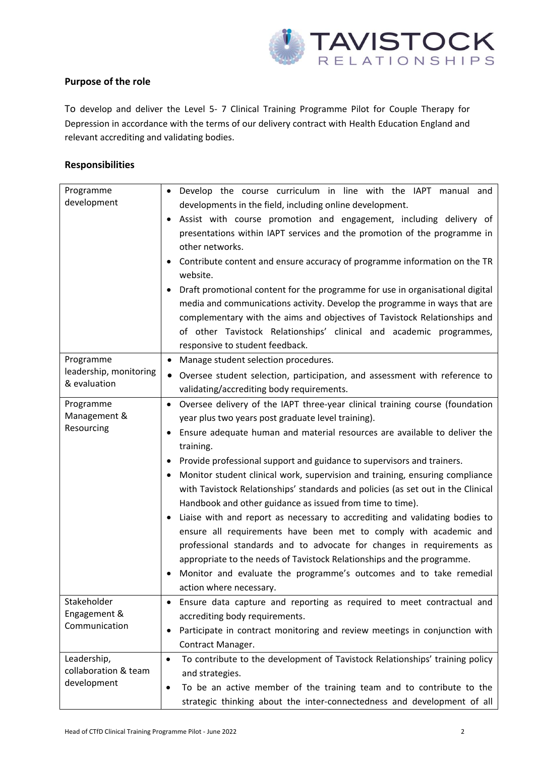

## **Purpose of the role**

To develop and deliver the Level 5- 7 Clinical Training Programme Pilot for Couple Therapy for Depression in accordance with the terms of our delivery contract with Health Education England and relevant accrediting and validating bodies.

## **Responsibilities**

| Programme<br>development                            | Develop the course curriculum in line with the IAPT manual and<br>$\bullet$<br>developments in the field, including online development.<br>Assist with course promotion and engagement, including delivery of<br>presentations within IAPT services and the promotion of the programme in<br>other networks.<br>Contribute content and ensure accuracy of programme information on the TR<br>website.                                                                                                                                                                                                                                                                                                                                                                                                                                                                                                                                                                     |
|-----------------------------------------------------|---------------------------------------------------------------------------------------------------------------------------------------------------------------------------------------------------------------------------------------------------------------------------------------------------------------------------------------------------------------------------------------------------------------------------------------------------------------------------------------------------------------------------------------------------------------------------------------------------------------------------------------------------------------------------------------------------------------------------------------------------------------------------------------------------------------------------------------------------------------------------------------------------------------------------------------------------------------------------|
|                                                     | Draft promotional content for the programme for use in organisational digital<br>media and communications activity. Develop the programme in ways that are<br>complementary with the aims and objectives of Tavistock Relationships and<br>of other Tavistock Relationships' clinical and academic programmes,<br>responsive to student feedback.                                                                                                                                                                                                                                                                                                                                                                                                                                                                                                                                                                                                                         |
| Programme<br>leadership, monitoring<br>& evaluation | Manage student selection procedures.<br>٠<br>Oversee student selection, participation, and assessment with reference to<br>$\bullet$<br>validating/accrediting body requirements.                                                                                                                                                                                                                                                                                                                                                                                                                                                                                                                                                                                                                                                                                                                                                                                         |
| Programme<br>Management &<br>Resourcing             | Oversee delivery of the IAPT three-year clinical training course (foundation<br>$\bullet$<br>year plus two years post graduate level training).<br>Ensure adequate human and material resources are available to deliver the<br>$\bullet$<br>training.<br>Provide professional support and guidance to supervisors and trainers.<br>Monitor student clinical work, supervision and training, ensuring compliance<br>with Tavistock Relationships' standards and policies (as set out in the Clinical<br>Handbook and other guidance as issued from time to time).<br>Liaise with and report as necessary to accrediting and validating bodies to<br>ensure all requirements have been met to comply with academic and<br>professional standards and to advocate for changes in requirements as<br>appropriate to the needs of Tavistock Relationships and the programme.<br>Monitor and evaluate the programme's outcomes and to take remedial<br>action where necessary. |
| Stakeholder<br>Engagement &<br>Communication        | Ensure data capture and reporting as required to meet contractual and<br>٠<br>accrediting body requirements.<br>Participate in contract monitoring and review meetings in conjunction with<br>٠<br>Contract Manager.                                                                                                                                                                                                                                                                                                                                                                                                                                                                                                                                                                                                                                                                                                                                                      |
| Leadership,<br>collaboration & team<br>development  | To contribute to the development of Tavistock Relationships' training policy<br>$\bullet$<br>and strategies.<br>To be an active member of the training team and to contribute to the<br>$\bullet$<br>strategic thinking about the inter-connectedness and development of all                                                                                                                                                                                                                                                                                                                                                                                                                                                                                                                                                                                                                                                                                              |